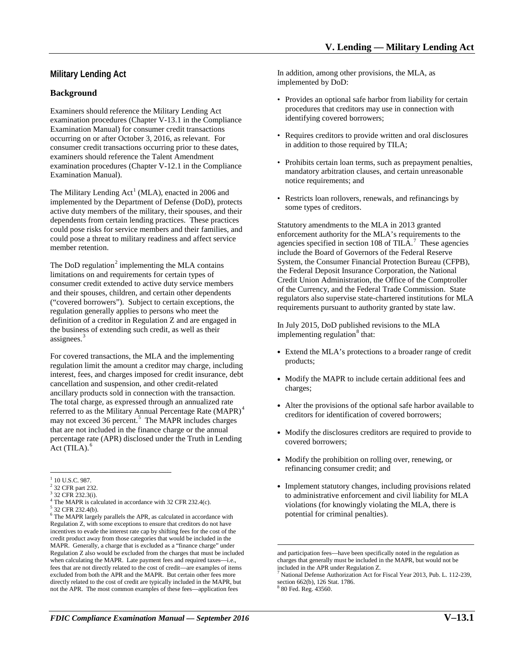# **Military Lending Act**

### **Background**

 occurring on or after October 3, 2016, as relevant. For Examiners should reference the Military Lending Act examination procedures (Chapter V-13.1 in the Compliance Examination Manual) for consumer credit transactions consumer credit transactions occurring prior to these dates, examiners should reference the Talent Amendment examination procedures (Chapter V-12.1 in the Compliance Examination Manual).

 dependents from certain lending practices. These practices could pose risks for service members and their families, and The Military Lending  $Act^1(MLA)$ , enacted in 2006 and implemented by the Department of Defense (DoD), protects active duty members of the military, their spouses, and their could pose a threat to military readiness and affect service member retention.

The DoD regulation $2$  implementing the MLA contains ("covered borrowers"). Subject to certain exceptions, the regulation generally applies to persons who meet the limitations on and requirements for certain types of consumer credit extended to active duty service members and their spouses, children, and certain other dependents definition of a creditor in Regulation Z and are engaged in the business of extending such credit, as well as their assignees.<sup>3</sup>

may not exceed 36 percent.<sup>5</sup> The MAPR includes charges percentage rate (APR) disclosed under the Truth in Lending For covered transactions, the MLA and the implementing regulation limit the amount a creditor may charge, including interest, fees, and charges imposed for credit insurance, debt cancellation and suspension, and other credit-related ancillary products sold in connection with the transaction. The total charge, as expressed through an annualized rate referred to as the Military Annual Percentage Rate (MAPR)<sup>4</sup> that are not included in the finance charge or the annual  $Act$  (TILA). $<sup>6</sup>$ </sup>

 $\overline{a}$ 

In addition, among other provisions, the MLA, as implemented by DoD:

- • Provides an optional safe harbor from liability for certain procedures that creditors may use in connection with identifying covered borrowers;
- Requires creditors to provide written and oral disclosures in addition to those required by TILA;
- Prohibits certain loan terms, such as prepayment penalties, mandatory arbitration clauses, and certain unreasonable notice requirements; and
- Restricts loan rollovers, renewals, and refinancings by some types of creditors.

agencies specified in section 108 of TILA.<sup>7</sup> These agencies of the Currency, and the Federal Trade Commission. State regulators also supervise state-chartered institutions for MLA Statutory amendments to the MLA in 2013 granted enforcement authority for the MLA's requirements to the include the Board of Governors of the Federal Reserve System, the Consumer Financial Protection Bureau (CFPB), the Federal Deposit Insurance Corporation, the National Credit Union Administration, the Office of the Comptroller requirements pursuant to authority granted by state law.

In July 2015, DoD published revisions to the MLA implementing regulation $\delta$  that:

- Extend the MLA's protections to a broader range of credit products;
- Modify the MAPR to include certain additional fees and charges;
- • Alter the provisions of the optional safe harbor available to creditors for identification of covered borrowers;
- Modify the disclosures creditors are required to provide to covered borrowers;
- Modify the prohibition on rolling over, renewing, or refinancing consumer credit; and
- Implement statutory changes, including provisions related to administrative enforcement and civil liability for MLA violations (for knowingly violating the MLA, there is potential for criminal penalties).

 $\overline{a}$ 

 $1$  10 U.S.C. 987.

<span id="page-0-1"></span><span id="page-0-0"></span><sup>&</sup>lt;sup>2</sup> 32 CFR part 232.<br><sup>3</sup> 32 CFR 232.3(i).

<span id="page-0-3"></span><span id="page-0-2"></span> $3$  32 CFR 232.3(i).<br> $4$  The MAPR is calculated in accordance with 32 CFR 232.4(c).

<sup>32</sup> CFR 232.4(b).

<span id="page-0-7"></span><span id="page-0-6"></span><span id="page-0-5"></span><span id="page-0-4"></span> $6$  The MAPR largely parallels the APR, as calculated in accordance with Regulation Z, with some exceptions to ensure that creditors do not have incentives to evade the interest rate cap by shifting fees for the cost of the credit product away from those categories that would be included in the MAPR. Generally, a charge that is excluded as a "finance charge" under Regulation Z also would be excluded from the charges that must be included when calculating the MAPR. Late payment fees and required taxes—i.e., fees that are not directly related to the cost of credit—are examples of items directly related to the cost of credit are typically included in the MAPR, but excluded from both the APR and the MAPR. But certain other fees more not the APR. The most common examples of these fees—application fees

 charges that generally must be included in the MAPR, but would not be included in the APR under Regulation Z. and participation fees—have been specifically noted in the regulation as

 section 662(b), 126 Stat. 1786. 8 80 Fed. Reg. 43560. 7 National Defense Authorization Act for Fiscal Year 2013, Pub. L. 112-239,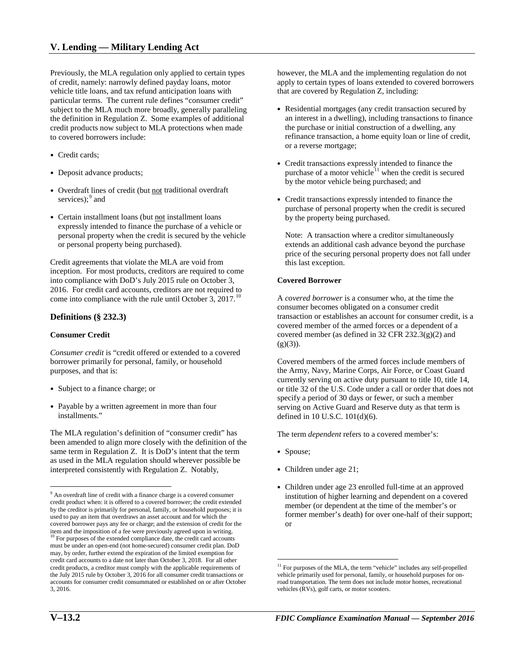of credit, namely: narrowly defined payday loans, motor particular terms. The current rule defines "consumer credit" the definition in Regulation Z. Some examples of additional to covered borrowers include: Previously, the MLA regulation only applied to certain types vehicle title loans, and tax refund anticipation loans with subject to the MLA much more broadly, generally paralleling credit products now subject to MLA protections when made

- Credit cards:
- Deposit advance products;
- services); <sup>[9](#page-1-0)</sup> and • Overdraft lines of credit (but not traditional overdraft
- Certain installment loans (but not installment loans expressly intended to finance the purchase of a vehicle or personal property when the credit is secured by the vehicle or personal property being purchased).

 inception. For most products, creditors are required to come Credit agreements that violate the MLA are void from into compliance with DoD's July 2015 rule on October 3, 2016. For credit card accounts, creditors are not required to come into compliance with the rule until October 3, 2017.<sup>10</sup>

# **Definitions (§ 232.3)**

### **Consumer Credit**

*Consumer credit* is "credit offered or extended to a covered borrower primarily for personal, family, or household purposes, and that is:

- Subject to a finance charge; or
- • Payable by a written agreement in more than four installments."

 The MLA regulation's definition of "consumer credit" has been amended to align more closely with the definition of the as used in the MLA regulation should wherever possible be interpreted consistently with Regulation Z. Notably, same term in Regulation Z. It is DoD's intent that the term

 however, the MLA and the implementing regulation do not apply to certain types of loans extended to covered borrowers that are covered by Regulation Z, including:

- an interest in a dwelling), including transactions to finance • Residential mortgages (any credit transaction secured by the purchase or initial construction of a dwelling, any refinance transaction, a home equity loan or line of credit, or a reverse mortgage;
- purchase of a motor vehicle<sup>11</sup> when the credit is secured • Credit transactions expressly intended to finance the by the motor vehicle being purchased; and
- purchase of personal property when the credit is secured • Credit transactions expressly intended to finance the by the property being purchased.

 price of the securing personal property does not fall under this last exception. Note: A transaction where a creditor simultaneously extends an additional cash advance beyond the purchase

### **Covered Borrower**

 covered member of the armed forces or a dependent of a A *covered borrower* is a consumer who, at the time the consumer becomes obligated on a consumer credit transaction or establishes an account for consumer credit, is a covered member (as defined in 32 CFR 232.3(g)(2) and  $(g)(3)$ ).

 Covered members of the armed forces include members of currently serving on active duty pursuant to title 10, title 14, or title 32 of the U.S. Code under a call or order that does not defined in 10 U.S.C. 101(d)(6). the Army, Navy, Marine Corps, Air Force, or Coast Guard specify a period of 30 days or fewer, or such a member serving on Active Guard and Reserve duty as that term is

The term *dependent* refers to a covered member's:

- Spouse;
- Children under age 21;
- Children under age 23 enrolled full-time at an approved institution of higher learning and dependent on a covered member (or dependent at the time of the member's or former member's death) for over one-half of their support; or

 $\overline{a}$ 

<span id="page-1-2"></span><span id="page-1-1"></span><span id="page-1-0"></span> used to pay an item that overdraws an asset account and for which the credit card accounts to a date not later than October 3, 2018. For all other credit products, a creditor must comply with the applicable requirements of 9 An overdraft line of credit with a finance charge is a covered consumer credit product when: it is offered to a covered borrower; the credit extended by the creditor is primarily for personal, family, or household purposes; it is covered borrower pays any fee or charge; and the extension of credit for the item and the imposition of a fee were previously agreed upon in writing. 10 For purposes of the extended compliance date, the credit card accounts must be under an open-end (not home-secured) consumer credit plan. DoD may, by order, further extend the expiration of the limited exemption for the July 2015 rule by October 3, 2016 for all consumer credit transactions or accounts for consumer credit consummated or established on or after October 3, 2016.

 $\overline{a}$  vehicles (RVs), golf carts, or motor scooters. <sup>11</sup> For purposes of the MLA, the term "vehicle" includes any self-propelled vehicle primarily used for personal, family, or household purposes for onroad transportation. The term does not include motor homes, recreational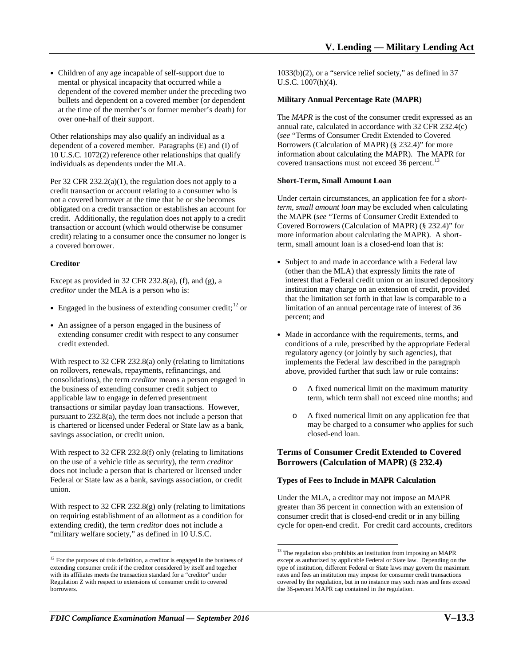• Children of any age incapable of self-support due to mental or physical incapacity that occurred while a dependent of the covered member under the preceding two bullets and dependent on a covered member (or dependent at the time of the member's or former member's death) for over one-half of their support.

 dependent of a covered member. Paragraphs (E) and (I) of Other relationships may also qualify an individual as a 10 U.S.C. 1072(2) reference other relationships that qualify individuals as dependents under the MLA.

 obligated on a credit transaction or establishes an account for Per 32 CFR 232.2(a)(1), the regulation does not apply to a credit transaction or account relating to a consumer who is not a covered borrower at the time that he or she becomes credit. Additionally, the regulation does not apply to a credit transaction or account (which would otherwise be consumer credit) relating to a consumer once the consumer no longer is a covered borrower.

#### **Creditor**

Except as provided in  $32$  CFR  $232.8(a)$ , (f), and (g), a *creditor* under the MLA is a person who is:

- Engaged in the business of extending consumer credit;<sup>[12](#page-2-0)</sup> or
- An assignee of a person engaged in the business of extending consumer credit with respect to any consumer credit extended.

 With respect to 32 CFR 232.8(a) only (relating to limitations transactions or similar payday loan transactions. However, pursuant to 232.8(a), the term does not include a person that savings association, or credit union. on rollovers, renewals, repayments, refinancings, and consolidations), the term *creditor* means a person engaged in the business of extending consumer credit subject to applicable law to engage in deferred presentment is chartered or licensed under Federal or State law as a bank,

savings association, or credit union.<br>With respect to 32 CFR 232.8(f) only (relating to limitations on the use of a vehicle title as security), the term *creditor*  Federal or State law as a bank, savings association, or credit does not include a person that is chartered or licensed under union.

With respect to 32 CFR 232.8(g) only (relating to limitations on requiring establishment of an allotment as a condition for extending credit), the term *creditor* does not include a "military welfare society," as defined in 10 U.S.C.

 U.S.C. 1007(h)(4). 1033(b)(2), or a "service relief society," as defined in 37

#### **Military Annual Percentage Rate (MAPR)**

 Borrowers (Calculation of MAPR) (§ 232.4)" for more information about calculating the MAPR). The MAPR for The *MAPR* is the cost of the consumer credit expressed as an annual rate, calculated in accordance with 32 CFR 232.4(c) (*see* "Terms of Consumer Credit Extended to Covered covered transactions must not exceed 36 percent.<sup>13</sup>

#### **Short-Term, Small Amount Loan**

 Covered Borrowers (Calculation of MAPR) (§ 232.4)" for Under certain circumstances, an application fee for a *shortterm, small amount loan* may be excluded when calculating the MAPR (*see* "Terms of Consumer Credit Extended to more information about calculating the MAPR). A shortterm, small amount loan is a closed-end loan that is:

- Subject to and made in accordance with a Federal law (other than the MLA) that expressly limits the rate of interest that a Federal credit union or an insured depository institution may charge on an extension of credit, provided that the limitation set forth in that law is comparable to a limitation of an annual percentage rate of interest of 36 percent; and
- conditions of a rule, prescribed by the appropriate Federal • Made in accordance with the requirements, terms, and regulatory agency (or jointly by such agencies), that implements the Federal law described in the paragraph above, provided further that such law or rule contains:
	- o A fixed numerical limit on the maximum maturity term, which term shall not exceed nine months; and
	- o A fixed numerical limit on any application fee that may be charged to a consumer who applies for such closed-end loan.

### **Borrowers (Calculation of MAPR) (§ 232.4) Terms of Consumer Credit Extended to Covered**

#### **Types of Fees to Include in MAPR Calculation**

 $\overline{a}$ 

 cycle for open-end credit. For credit card accounts, creditors Under the MLA, a creditor may not impose an MAPR greater than 36 percent in connection with an extension of consumer credit that is closed-end credit or in any billing

<span id="page-2-1"></span><span id="page-2-0"></span> $\overline{a}$  with its affiliates meets the transaction standard for a "creditor" under  $12$  For the purposes of this definition, a creditor is engaged in the business of extending consumer credit if the creditor considered by itself and together Regulation Z with respect to extensions of consumer credit to covered **borrowers** 

 rates and fees an institution may impose for consumer credit transactions covered by the regulation, but in no instance may such rates and fees exceed <sup>13</sup> The regulation also prohibits an institution from imposing an MAPR except as authorized by applicable Federal or State law. Depending on the type of institution, different Federal or State laws may govern the maximum the 36-percent MAPR cap contained in the regulation.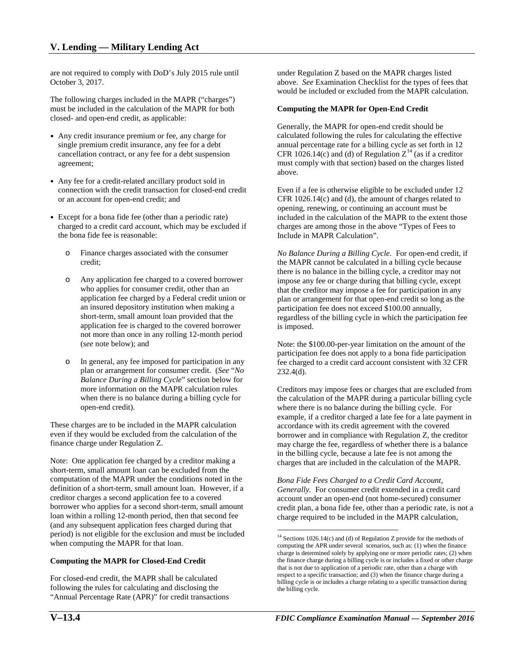are not required to comply with DoD's July 2015 rule until October 3, 2017.

October 3, 2017.<br>The following charges included in the MAPR ("charges") must be included in the calculation of the MAPR for both closed- and open-end credit, as applicable:

- • Any credit insurance premium or fee, any charge for single premium credit insurance, any fee for a debt cancellation contract, or any fee for a debt suspension agreement;
- Any fee for a credit-related ancillary product sold in connection with the credit transaction for closed-end credit or an account for open-end credit; and
- Except for a bona fide fee (other than a periodic rate) charged to a credit card account, which may be excluded if the bona fide fee is reasonable:
	- o Finance charges associated with the consumer credit;
	- o Any application fee charged to a covered borrower who applies for consumer credit, other than an application fee charged by a Federal credit union or an insured depository institution when making a short-term, small amount loan provided that the application fee is charged to the covered borrower not more than once in any rolling 12-month period (*see* note below); and
	- plan or arrangement for consumer credit. (*See* "*No*  open-end credit). o In general, any fee imposed for participation in any *Balance During a Billing Cycle*" section below for more information on the MAPR calculation rules when there is no balance during a billing cycle for

These charges are to be included in the MAPR calculation even if they would be excluded from the calculation of the finance charge under Regulation Z.

Note: One application fee charged by a creditor making a short-term, small amount loan can be excluded from the computation of the MAPR under the conditions noted in the definition of a short-term, small amount loan. However, if a creditor charges a second application fee to a covered borrower who applies for a second short-term, small amount loan within a rolling 12-month period, then that second fee (and any subsequent application fees charged during that period) is not eligible for the exclusion and must be included when computing the MAPR for that loan.

# <span id="page-3-0"></span> **Computing the MAPR for Closed-End Credit**

For closed-end credit, the MAPR shall be calculated following the rules for calculating and disclosing the "Annual Percentage Rate (APR)" for credit transactions

 above. *See* Examination Checklist for the types of fees that would be included or excluded from the MAPR calculation. under Regulation Z based on the MAPR charges listed

### **Computing the MAPR for Open-End Credit**

Generally, the MAPR for open-end credit should be calculated following the rules for calculating the effective annual percentage rate for a billing cycle as set forth in 12 CFR 1026.[14](#page-3-0)(c) and (d) of Regulation  $Z^{14}$  (as if a creditor must comply with that section) based on the charges listed above.

 opening, renewing, or continuing an account must be charges are among those in the above "Types of Fees to Even if a fee is otherwise eligible to be excluded under 12 CFR 1026.14(c) and (d), the amount of charges related to included in the calculation of the MAPR to the extent those Include in MAPR Calculation".

 *No Balance During a Billing Cycle.* For open-end credit, if is imposed. the MAPR cannot be calculated in a billing cycle because there is no balance in the billing cycle, a creditor may not impose any fee or charge during that billing cycle, except that the creditor may impose a fee for participation in any plan or arrangement for that open-end credit so long as the participation fee does not exceed \$100.00 annually, regardless of the billing cycle in which the participation fee

is imposed.<br>Note: the \$100.00-per-year limitation on the amount of the participation fee does not apply to a bona fide participation fee charged to a credit card account consistent with 32 CFR 232.4(d).

 where there is no balance during the billing cycle. For Creditors may impose fees or charges that are excluded from the calculation of the MAPR during a particular billing cycle example, if a creditor charged a late fee for a late payment in accordance with its credit agreement with the covered borrower and in compliance with Regulation Z, the creditor may charge the fee, regardless of whether there is a balance in the billing cycle, because a late fee is not among the charges that are included in the calculation of the MAPR.

 *Generally.* For consumer credit extended in a credit card *Bona Fide Fees Charged to a Credit Card Account,*  account under an open-end (not home-secured) consumer credit plan, a bona fide fee, other than a periodic rate, is not a charge required to be included in the MAPR calculation,

 $\overline{a}$ 

 charge is determined solely by applying one or more periodic rates; (2) when the finance charge during a billing cycle is or includes a fixed or other charge that is not due to application of a periodic rate, other than a charge with respect to a specific transaction; and (3) when the finance charge during a billing cycle is or includes a charge relating to a specific transaction during  $14$  Sections 1026.14(c) and (d) of Regulation Z provide for the methods of computing the APR under several scenarios, such as: (1) when the finance the billing cycle.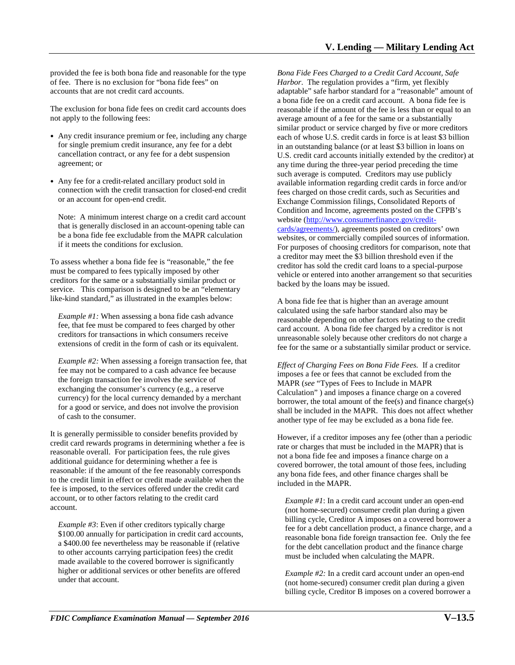provided the fee is both bona fide and reasonable for the type of fee. There is no exclusion for "bona fide fees" on accounts that are not credit card accounts.

 The exclusion for bona fide fees on credit card accounts does not apply to the following fees:

- Any credit insurance premium or fee, including any charge for single premium credit insurance, any fee for a debt cancellation contract, or any fee for a debt suspension agreement; or
- Any fee for a credit-related ancillary product sold in connection with the credit transaction for closed-end credit or an account for open-end credit.

Note: A minimum interest charge on a credit card account that is generally disclosed in an account-opening table can be a bona fide fee excludable from the MAPR calculation if it meets the conditions for exclusion.

 service. This comparison is designed to be an "elementary To assess whether a bona fide fee is "reasonable," the fee must be compared to fees typically imposed by other creditors for the same or a substantially similar product or like-kind standard," as illustrated in the examples below:

 extensions of credit in the form of cash or its equivalent. *Example #1:* When assessing a bona fide cash advance fee, that fee must be compared to fees charged by other creditors for transactions in which consumers receive

 *Example #2:* When assessing a foreign transaction fee, that for a good or service, and does not involve the provision fee may not be compared to a cash advance fee because the foreign transaction fee involves the service of exchanging the consumer's currency (e.g., a reserve currency) for the local currency demanded by a merchant of cash to the consumer.

 It is generally permissible to consider benefits provided by reasonable overall. For participation fees, the rule gives account, or to other factors relating to the credit card account. credit card rewards programs in determining whether a fee is additional guidance for determining whether a fee is reasonable: if the amount of the fee reasonably corresponds to the credit limit in effect or credit made available when the fee is imposed, to the services offered under the credit card

under that account. *Example #3*: Even if other creditors typically charge \$100.00 annually for participation in credit card accounts, a \$400.00 fee nevertheless may be reasonable if (relative to other accounts carrying participation fees) the credit made available to the covered borrower is significantly higher or additional services or other benefits are offered

Bona Fide Fees Charged to a Credit Card Account, Safe adaptable" safe harbor standard for a "reasonable" amount of Exchange Commission filings, Consolidated Reports of websites, or commercially compiled sources of information. For purposes of choosing creditors for comparison, note that which the is then beam for active charge in the place of the Credit Card Accounts and<br>solution of the state card control in the state of the card Accounts of the state of the state of the state of the state of the state o *Harbor*. The regulation provides a "firm, yet flexibly a bona fide fee on a credit card account. A bona fide fee is reasonable if the amount of the fee is less than or equal to an average amount of a fee for the same or a substantially similar product or service charged by five or more creditors each of whose U.S. credit cards in force is at least \$3 billion in an outstanding balance (or at least \$3 billion in loans on U.S. credit card accounts initially extended by the creditor) at any time during the three-year period preceding the time such average is computed. Creditors may use publicly available information regarding credit cards in force and/or fees charged on those credit cards, such as Securities and Condition and Income, agreements posted on the CFPB's website [\(http://www.consumerfinance.gov/credit](http://www.consumerfinance.gov/credit-cards/agreements/)[cards/agreements/\)](http://www.consumerfinance.gov/credit-cards/agreements/), agreements posted on creditors' own a creditor may meet the \$3 billion threshold even if the creditor has sold the credit card loans to a special-purpose vehicle or entered into another arrangement so that securities backed by the loans may be issued.

 calculated using the safe harbor standard also may be card account. A bona fide fee charged by a creditor is not fee for the same or a substantially similar product or service. A bona fide fee that is higher than an average amount reasonable depending on other factors relating to the credit unreasonable solely because other creditors do not charge a

 *Effect of Charging Fees on Bona Fide Fees.* If a creditor imposes a fee or fees that cannot be excluded from the another type of fee may be excluded as a bona fide fee. MAPR (*see* "Types of Fees to Include in MAPR Calculation" ) and imposes a finance charge on a covered borrower, the total amount of the fee(s) and finance charge(s) shall be included in the MAPR. This does not affect whether

 included in the MAPR. However, if a creditor imposes any fee (other than a periodic rate or charges that must be included in the MAPR) that is not a bona fide fee and imposes a finance charge on a covered borrower, the total amount of those fees, including any bona fide fees, and other finance charges shall be

*Example #1*: In a credit card account under an open-end (not home-secured) consumer credit plan during a given billing cycle, Creditor A imposes on a covered borrower a fee for a debt cancellation product, a finance charge, and a reasonable bona fide foreign transaction fee. Only the fee for the debt cancellation product and the finance charge must be included when calculating the MAPR.

*Example #2:* In a credit card account under an open-end (not home-secured) consumer credit plan during a given billing cycle, Creditor B imposes on a covered borrower a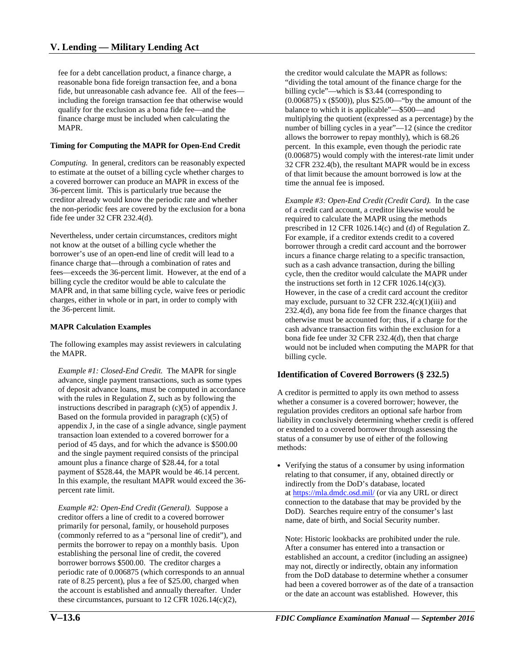reasonable bona fide foreign transaction fee, and a bona fide, but unreasonable cash advance fee. All of the fees fee for a debt cancellation product, a finance charge, a including the foreign transaction fee that otherwise would qualify for the exclusion as a bona fide fee—and the finance charge must be included when calculating the MAPR.

# **Timing for Computing the MAPR for Open-End Credit**

*Computing.* In general, creditors can be reasonably expected to estimate at the outset of a billing cycle whether charges to a covered borrower can produce an MAPR in excess of the 36-percent limit. This is particularly true because the creditor already would know the periodic rate and whether the non-periodic fees are covered by the exclusion for a bona fide fee under 32 CFR 232.4(d).

 the 36-percent limit. Nevertheless, under certain circumstances, creditors might not know at the outset of a billing cycle whether the borrower's use of an open-end line of credit will lead to a finance charge that—through a combination of rates and fees—exceeds the 36-percent limit. However, at the end of a billing cycle the creditor would be able to calculate the MAPR and, in that same billing cycle, waive fees or periodic charges, either in whole or in part, in order to comply with

### **MAPR Calculation Examples**

 the MAPR. The following examples may assist reviewers in calculating

 *Example #1: Closed-End Credit.* The MAPR for single instructions described in paragraph (c)(5) of appendix J. and the single payment required consists of the principal amount plus a finance charge of \$28.44, for a total payment of \$528.44, the MAPR would be 46.14 percent. percent rate limit. advance, single payment transactions, such as some types of deposit advance loans, must be computed in accordance with the rules in Regulation Z, such as by following the Based on the formula provided in paragraph  $(c)(5)$  of appendix J, in the case of a single advance, single payment transaction loan extended to a covered borrower for a period of 45 days, and for which the advance is \$500.00 In this example, the resultant MAPR would exceed the 36-

 *Example #2: Open-End Credit (General).* Suppose a rate of 8.25 percent), plus a fee of \$25.00, charged when creditor offers a line of credit to a covered borrower primarily for personal, family, or household purposes (commonly referred to as a "personal line of credit"), and permits the borrower to repay on a monthly basis. Upon establishing the personal line of credit, the covered borrower borrows \$500.00. The creditor charges a periodic rate of 0.006875 (which corresponds to an annual the account is established and annually thereafter. Under these circumstances, pursuant to 12 CFR 1026.14(c)(2),

 (0.006875) x (\$500)), plus \$25.00—"by the amount of the time the annual fee is imposed. the creditor would calculate the MAPR as follows: "dividing the total amount of the finance charge for the billing cycle"—which is \$3.44 (corresponding to balance to which it is applicable"—\$500—and multiplying the quotient (expressed as a percentage) by the number of billing cycles in a year"—12 (since the creditor allows the borrower to repay monthly), which is 68.26 percent. In this example, even though the periodic rate (0.006875) would comply with the interest-rate limit under 32 CFR 232.4(b), the resultant MAPR would be in excess of that limit because the amount borrowed is low at the

 prescribed in 12 CFR 1026.14(c) and (d) of Regulation Z. For example, if a creditor extends credit to a covered such as a cash advance transaction, during the billing the instructions set forth in  $12$  CFR  $1026.14(c)(3)$ . bona fide fee under 32 CFR 232.4(d), then that charge billing cycle. *Example #3: Open-End Credit (Credit Card).* In the case of a credit card account, a creditor likewise would be required to calculate the MAPR using the methods borrower through a credit card account and the borrower incurs a finance charge relating to a specific transaction, cycle, then the creditor would calculate the MAPR under However, in the case of a credit card account the creditor may exclude, pursuant to  $32$  CFR  $232.4(c)(1)(iii)$  and 232.4(d), any bona fide fee from the finance charges that otherwise must be accounted for; thus, if a charge for the cash advance transaction fits within the exclusion for a would not be included when computing the MAPR for that

# **Identification of Covered Borrowers (§ 232.5)**

 regulation provides creditors an optional safe harbor from A creditor is permitted to apply its own method to assess whether a consumer is a covered borrower; however, the liability in conclusively determining whether credit is offered or extended to a covered borrower through assessing the status of a consumer by use of either of the following methods:

name, date of birth, and Social Security number. • Verifying the status of a consumer by using information relating to that consumer, if any, obtained directly or indirectly from the DoD's database, located at<https://mla.dmdc.osd.mil/>(or via any URL or direct connection to the database that may be provided by the DoD). Searches require entry of the consumer's last

 or the date an account was established. However, this name, date of birth, and Social Security number. Note: Historic lookbacks are prohibited under the rule. After a consumer has entered into a transaction or established an account, a creditor (including an assignee) may not, directly or indirectly, obtain any information from the DoD database to determine whether a consumer had been a covered borrower as of the date of a transaction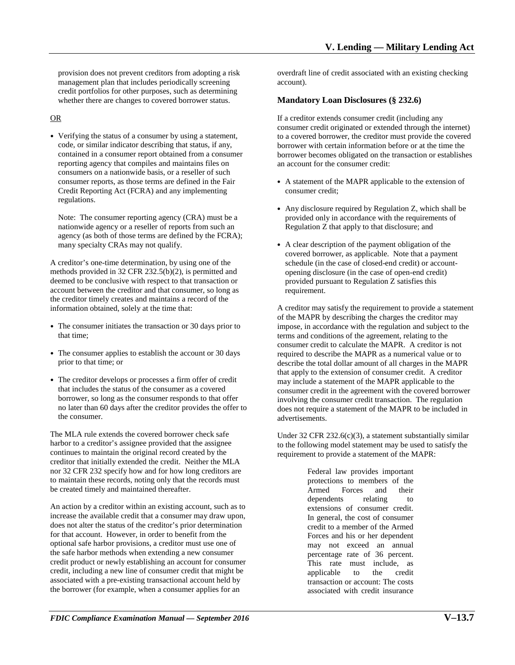provision does not prevent creditors from adopting a risk management plan that includes periodically screening credit portfolios for other purposes, such as determining whether there are changes to covered borrower status.

# OR

 reporting agency that compiles and maintains files on consumers on a nationwide basis, or a reseller of such Credit Reporting Act (FCRA) and any implementing • Verifying the status of a consumer by using a statement, code, or similar indicator describing that status, if any, contained in a consumer report obtained from a consumer consumer reports, as those terms are defined in the Fair regulations.

 Note: The consumer reporting agency (CRA) must be a agency (as both of those terms are defined by the FCRA); nationwide agency or a reseller of reports from such an many specialty CRAs may not qualify.

A creditor's one-time determination, by using one of the methods provided in 32 CFR 232.5(b)(2), is permitted and deemed to be conclusive with respect to that transaction or account between the creditor and that consumer, so long as the creditor timely creates and maintains a record of the information obtained, solely at the time that:

- The consumer initiates the transaction or 30 days prior to that time;
- The consumer applies to establish the account or 30 days prior to that time; or
- The creditor develops or processes a firm offer of credit that includes the status of the consumer as a covered borrower, so long as the consumer responds to that offer no later than 60 days after the creditor provides the offer to the consumer.

 creditor that initially extended the credit. Neither the MLA The MLA rule extends the covered borrower check safe harbor to a creditor's assignee provided that the assignee continues to maintain the original record created by the nor 32 CFR 232 specify how and for how long creditors are to maintain these records, noting only that the records must be created timely and maintained thereafter.

 associated with a pre-existing transactional account held by the borrower (for example, when a consumer applies for an An action by a creditor within an existing account, such as to increase the available credit that a consumer may draw upon, does not alter the status of the creditor's prior determination for that account. However, in order to benefit from the optional safe harbor provisions, a creditor must use one of the safe harbor methods when extending a new consumer credit product or newly establishing an account for consumer credit, including a new line of consumer credit that might be

overdraft line of credit associated with an existing checking account).

# **Mandatory Loan Disclosures (§ 232.6)**

If a creditor extends consumer credit (including any consumer credit originated or extended through the internet) to a covered borrower, the creditor must provide the covered borrower with certain information before or at the time the borrower becomes obligated on the transaction or establishes an account for the consumer credit:

- A statement of the MAPR applicable to the extension of consumer credit;
- Any disclosure required by Regulation Z, which shall be provided only in accordance with the requirements of Regulation Z that apply to that disclosure; and
- opening disclosure (in the case of open-end credit) • A clear description of the payment obligation of the covered borrower, as applicable. Note that a payment schedule (in the case of closed-end credit) or accountprovided pursuant to Regulation Z satisfies this requirement.

A creditor may satisfy the requirement to provide a statement of the MAPR by describing the charges the creditor may impose, in accordance with the regulation and subject to the terms and conditions of the agreement, relating to the consumer credit to calculate the MAPR. A creditor is not required to describe the MAPR as a numerical value or to describe the total dollar amount of all charges in the MAPR that apply to the extension of consumer credit. A creditor may include a statement of the MAPR applicable to the consumer credit in the agreement with the covered borrower involving the consumer credit transaction. The regulation does not require a statement of the MAPR to be included in advertisements.

Under 32 CFR 232.6(c)(3), a statement substantially similar to the following model statement may be used to satisfy the requirement to provide a statement of the MAPR:

> extensions of consumer credit. credit to a member of the Armed percentage rate of 36 percent. transaction or account: The costs Federal law provides important protections to members of the Armed Forces and their dependents relating to In general, the cost of consumer Forces and his or her dependent may not exceed an annual This rate must include, as applicable to the credit associated with credit insurance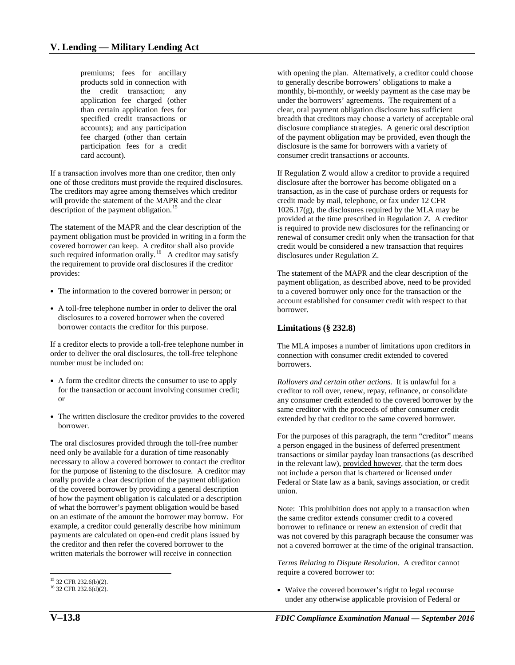application fee charged (other than certain application fees for specified credit transactions or participation fees for a credit premiums; fees for ancillary products sold in connection with the credit transaction; any accounts); and any participation fee charged (other than certain card account).

one of those creditors must provide the required disclosures. description of the payment obligation.<sup>[15](#page-7-0)</sup> If a transaction involves more than one creditor, then only The creditors may agree among themselves which creditor will provide the statement of the MAPR and the clear

 payment obligation must be provided in writing in a form the such required information orally.<sup>16</sup> A creditor may satisfy The statement of the MAPR and the clear description of the covered borrower can keep. A creditor shall also provide the requirement to provide oral disclosures if the creditor provides:

- The information to the covered borrower in person; or
- A toll-free telephone number in order to deliver the oral disclosures to a covered borrower when the covered borrower contacts the creditor for this purpose.

If a creditor elects to provide a toll-free telephone number in order to deliver the oral disclosures, the toll-free telephone number must be included on:

- A form the creditor directs the consumer to use to apply for the transaction or account involving consumer credit; or
- The written disclosure the creditor provides to the covered borrower.

 for the purpose of listening to the disclosure. A creditor may on an estimate of the amount the borrower may borrow. For The oral disclosures provided through the toll-free number need only be available for a duration of time reasonably necessary to allow a covered borrower to contact the creditor orally provide a clear description of the payment obligation of the covered borrower by providing a general description of how the payment obligation is calculated or a description of what the borrower's payment obligation would be based example, a creditor could generally describe how minimum payments are calculated on open-end credit plans issued by the creditor and then refer the covered borrower to the written materials the borrower will receive in connection

 clear, oral payment obligation disclosure has sufficient consumer credit transactions or accounts. with opening the plan. Alternatively, a creditor could choose to generally describe borrowers' obligations to make a monthly, bi-monthly, or weekly payment as the case may be under the borrowers' agreements. The requirement of a breadth that creditors may choose a variety of acceptable oral disclosure compliance strategies. A generic oral description of the payment obligation may be provided, even though the disclosure is the same for borrowers with a variety of

 1026.17(g), the disclosures required by the MLA may be provided at the time prescribed in Regulation Z. A creditor is required to provide new disclosures for the refinancing or If Regulation Z would allow a creditor to provide a required disclosure after the borrower has become obligated on a transaction, as in the case of purchase orders or requests for credit made by mail, telephone, or fax under 12 CFR renewal of consumer credit only when the transaction for that credit would be considered a new transaction that requires disclosures under Regulation Z.

 payment obligation, as described above, need to be provided The statement of the MAPR and the clear description of the to a covered borrower only once for the transaction or the account established for consumer credit with respect to that borrower.

### **Limitations (§ 232.8)**

 borrowers. The MLA imposes a number of limitations upon creditors in connection with consumer credit extended to covered

 *Rollovers and certain other actions.* It is unlawful for a extended by that creditor to the same covered borrower. creditor to roll over, renew, repay, refinance, or consolidate any consumer credit extended to the covered borrower by the same creditor with the proceeds of other consumer credit

 Federal or State law as a bank, savings association, or credit For the purposes of this paragraph, the term "creditor" means a person engaged in the business of deferred presentment transactions or similar payday loan transactions (as described in the relevant law), provided however, that the term does not include a person that is chartered or licensed under union.

 Note: This prohibition does not apply to a transaction when not a covered borrower at the time of the original transaction. the same creditor extends consumer credit to a covered borrower to refinance or renew an extension of credit that was not covered by this paragraph because the consumer was

 *Terms Relating to Dispute Resolution.* A creditor cannot require a covered borrower to:

• Waive the covered borrower's right to legal recourse under any otherwise applicable provision of Federal or

<span id="page-7-0"></span> $^{15}$  32 CFR 232.6(b)(2).

<span id="page-7-1"></span><sup>&</sup>lt;sup>16</sup> 32 CFR 232.6(d)(2).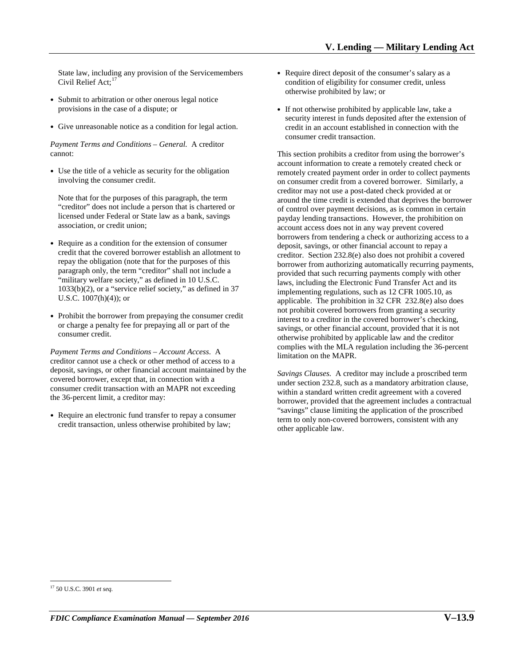State law, including any provision of the Servicemembers Civil Relief Act;<sup>17</sup>

- Submit to arbitration or other onerous legal notice provisions in the case of a dispute; or
- Give unreasonable notice as a condition for legal action.

 *Payment Terms and Conditions – General.* A creditor cannot:

• Use the title of a vehicle as security for the obligation involving the consumer credit.

Note that for the purposes of this paragraph, the term "creditor" does not include a person that is chartered or licensed under Federal or State law as a bank, savings association, or credit union;

- repay the obligation (note that for the purposes of this "military welfare society," as defined in 10 U.S.C. U.S.C. 1007(h)(4)); or • Require as a condition for the extension of consumer credit that the covered borrower establish an allotment to paragraph only, the term "creditor" shall not include a 1033(b)(2), or a "service relief society," as defined in 37
- Prohibit the borrower from prepaying the consumer credit or charge a penalty fee for prepaying all or part of the consumer credit.

 *Payment Terms and Conditions – Account Access.* A creditor cannot use a check or other method of access to a deposit, savings, or other financial account maintained by the covered borrower, except that, in connection with a consumer credit transaction with an MAPR not exceeding the 36-percent limit, a creditor may:

• Require an electronic fund transfer to repay a consumer credit transaction, unless otherwise prohibited by law;

- Require direct deposit of the consumer's salary as a condition of eligibility for consumer credit, unless otherwise prohibited by law; or
- If not otherwise prohibited by applicable law, take a security interest in funds deposited after the extension of credit in an account established in connection with the consumer credit transaction.

 applicable. The prohibition in 32 CFR 232.8(e) also does savings, or other financial account, provided that it is not This section prohibits a creditor from using the borrower's account information to create a remotely created check or remotely created payment order in order to collect payments on consumer credit from a covered borrower. Similarly, a creditor may not use a post-dated check provided at or around the time credit is extended that deprives the borrower of control over payment decisions, as is common in certain payday lending transactions. However, the prohibition on account access does not in any way prevent covered borrowers from tendering a check or authorizing access to a deposit, savings, or other financial account to repay a creditor. Section 232.8(e) also does not prohibit a covered borrower from authorizing automatically recurring payments, provided that such recurring payments comply with other laws, including the Electronic Fund Transfer Act and its implementing regulations, such as 12 CFR 1005.10, as not prohibit covered borrowers from granting a security interest to a creditor in the covered borrower's checking, otherwise prohibited by applicable law and the creditor complies with the MLA regulation including the 36-percent limitation on the MAPR.

 *Savings Clauses.* A creditor may include a proscribed term under section 232.8, such as a mandatory arbitration clause, within a standard written credit agreement with a covered borrower, provided that the agreement includes a contractual "savings" clause limiting the application of the proscribed term to only non-covered borrowers, consistent with any other applicable law.

<span id="page-8-0"></span> $\overline{a}$ 17 50 U.S.C. 3901 *et seq*.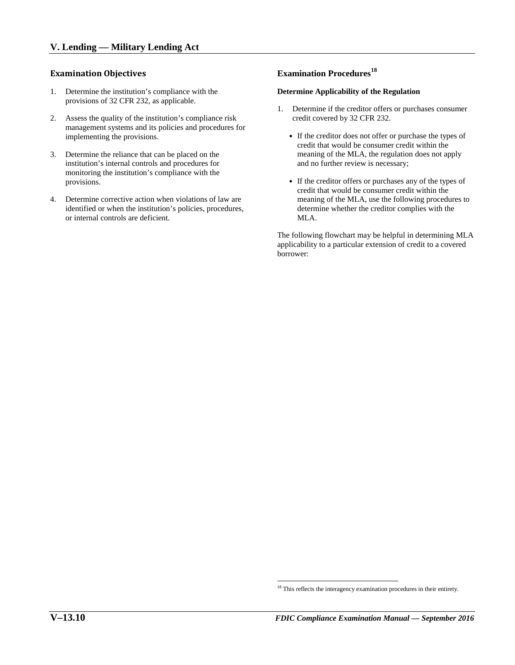# **Examination Objectives**

- 1. Determine the institution's compliance with the provisions of 32 CFR 232, as applicable.
- 2. Assess the quality of the institution's compliance risk management systems and its policies and procedures for implementing the provisions.
- 3. Determine the reliance that can be placed on the institution's internal controls and procedures for monitoring the institution's compliance with the provisions.
- 4. Determine corrective action when violations of law are identified or when the institution's policies, procedures, or internal controls are deficient.

# **Examination Procedures[18](#page-9-0)**

#### **Determine Applicability of the Regulation**

- 1. Determine if the creditor offers or purchases consumer credit covered by 32 CFR 232.
	- • If the creditor does not offer or purchase the types of credit that would be consumer credit within the meaning of the MLA, the regulation does not apply and no further review is necessary;
	- If the creditor offers or purchases any of the types of credit that would be consumer credit within the meaning of the MLA, use the following procedures to determine whether the creditor complies with the MLA.

The following flowchart may be helpful in determining MLA applicability to a particular extension of credit to a covered borrower:

<span id="page-9-0"></span> $\overline{a}$ <sup>18</sup> This reflects the interagency examination procedures in their entirety.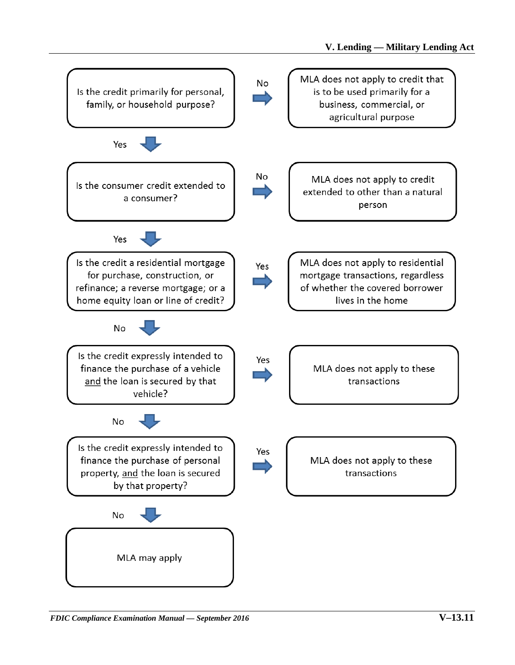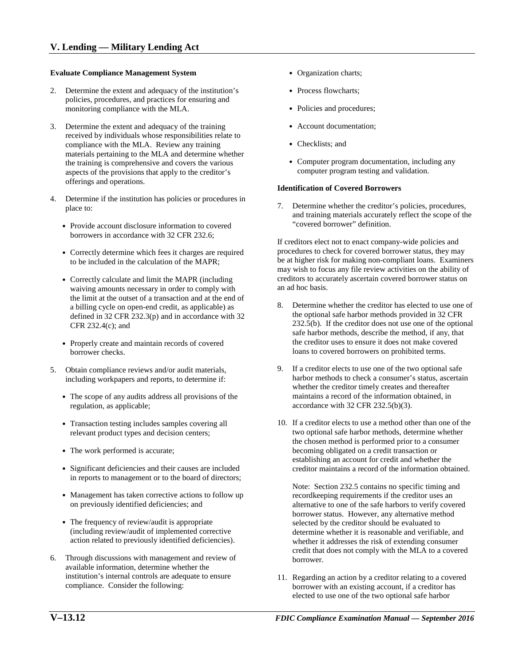#### **Evaluate Compliance Management System** • Organization charts;

- 2. Determine the extent and adequacy of the institution's policies, procedures, and practices for ensuring and monitoring compliance with the MLA.
- 3. Determine the extent and adequacy of the training received by individuals whose responsibilities relate to compliance with the MLA. Review any training materials pertaining to the MLA and determine whether the training is comprehensive and covers the various aspects of the provisions that apply to the creditor's offerings and operations.
- 4. Determine if the institution has policies or procedures in place to:
	- Provide account disclosure information to covered borrowers in accordance with 32 CFR 232.6;
	- Correctly determine which fees it charges are required to be included in the calculation of the MAPR;
	- waiving amounts necessary in order to comply with • Correctly calculate and limit the MAPR (including the limit at the outset of a transaction and at the end of a billing cycle on open-end credit, as applicable) as defined in 32 CFR 232.3(p) and in accordance with 32 CFR 232.4(c); and
	- Properly create and maintain records of covered borrower checks.
- 5. Obtain compliance reviews and/or audit materials, including workpapers and reports, to determine if:
	- The scope of any audits address all provisions of the regulation, as applicable;
	- Transaction testing includes samples covering all relevant product types and decision centers;
	- The work performed is accurate;
	- Significant deficiencies and their causes are included in reports to management or to the board of directors;
	- • Management has taken corrective actions to follow up on previously identified deficiencies; and
	- The frequency of review/audit is appropriate (including review/audit of implemented corrective action related to previously identified deficiencies).
- 6. Through discussions with management and review of available information, determine whether the institution's internal controls are adequate to ensure compliance. Consider the following:
- 
- Process flowcharts:
- Policies and procedures;
- Account documentation;
- Checklists; and
- computer program testing and validation. • Computer program documentation, including any

#### **Identification of Covered Borrowers**

"covered borrower" definition. 7. Determine whether the creditor's policies, procedures, and training materials accurately reflect the scope of the

If creditors elect not to enact company-wide policies and procedures to check for covered borrower status, they may be at higher risk for making non-compliant loans. Examiners may wish to focus any file review activities on the ability of creditors to accurately ascertain covered borrower status on an ad hoc basis.

- 8. Determine whether the creditor has elected to use one of 232.5(b). If the creditor does not use one of the optional the optional safe harbor methods provided in 32 CFR safe harbor methods, describe the method, if any, that the creditor uses to ensure it does not make covered loans to covered borrowers on prohibited terms.
- 9. If a creditor elects to use one of the two optional safe harbor methods to check a consumer's status, ascertain whether the creditor timely creates and thereafter maintains a record of the information obtained, in accordance with 32 CFR 232.5(b)(3).
- 10. If a creditor elects to use a method other than one of the two optional safe harbor methods, determine whether the chosen method is performed prior to a consumer becoming obligated on a credit transaction or establishing an account for credit and whether the creditor maintains a record of the information obtained.

borrower. Note: Section 232.5 contains no specific timing and recordkeeping requirements if the creditor uses an alternative to one of the safe harbors to verify covered borrower status. However, any alternative method selected by the creditor should be evaluated to determine whether it is reasonable and verifiable, and whether it addresses the risk of extending consumer credit that does not comply with the MLA to a covered

 elected to use one of the two optional safe harbor 11. Regarding an action by a creditor relating to a covered borrower with an existing account, if a creditor has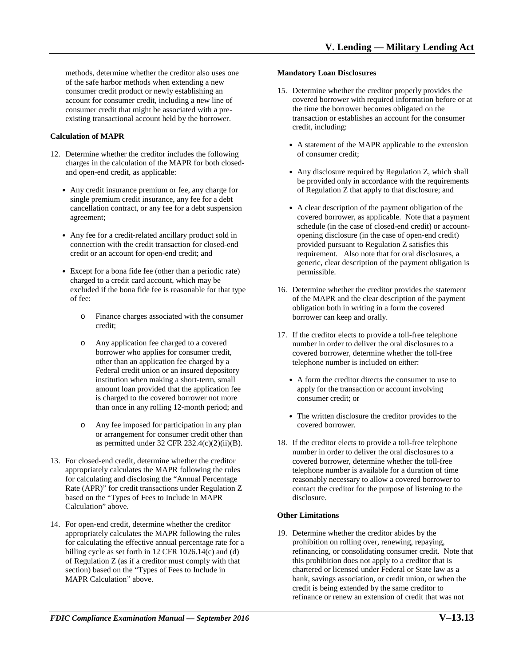methods, determine whether the creditor also uses one of the safe harbor methods when extending a new consumer credit product or newly establishing an account for consumer credit, including a new line of consumer credit that might be associated with a preexisting transactional account held by the borrower.

# **Calculation of MAPR**

- 12. Determine whether the creditor includes the following charges in the calculation of the MAPR for both closedand open-end credit, as applicable:
	- Any credit insurance premium or fee, any charge for single premium credit insurance, any fee for a debt cancellation contract, or any fee for a debt suspension agreement;
	- Any fee for a credit-related ancillary product sold in connection with the credit transaction for closed-end credit or an account for open-end credit; and
	- Except for a bona fide fee (other than a periodic rate) charged to a credit card account, which may be excluded if the bona fide fee is reasonable for that type of fee:
		- o Finance charges associated with the consumer credit;
		- o Any application fee charged to a covered borrower who applies for consumer credit, other than an application fee charged by a Federal credit union or an insured depository institution when making a short-term, small amount loan provided that the application fee is charged to the covered borrower not more than once in any rolling 12-month period; and
		- o Any fee imposed for participation in any plan or arrangement for consumer credit other than as permitted under 32 CFR 232.4(c)(2)(ii)(B).
- based on the "Types of Fees to Include in MAPR Calculation" above. 13. For closed-end credit, determine whether the creditor appropriately calculates the MAPR following the rules for calculating and disclosing the "Annual Percentage Rate (APR)" for credit transactions under Regulation Z
- 14. For open-end credit, determine whether the creditor appropriately calculates the MAPR following the rules for calculating the effective annual percentage rate for a billing cycle as set forth in 12 CFR 1026.14(c) and (d) of Regulation Z (as if a creditor must comply with that section) based on the "Types of Fees to Include in MAPR Calculation" above.

#### **Mandatory Loan Disclosures**

- 15. Determine whether the creditor properly provides the covered borrower with required information before or at the time the borrower becomes obligated on the transaction or establishes an account for the consumer credit, including:
	- A statement of the MAPR applicable to the extension of consumer credit;
	- Any disclosure required by Regulation Z, which shall be provided only in accordance with the requirements of Regulation Z that apply to that disclosure; and
	- opening disclosure (in the case of open-end credit) requirement. Also note that for oral disclosures, a • A clear description of the payment obligation of the covered borrower, as applicable. Note that a payment schedule (in the case of closed-end credit) or accountprovided pursuant to Regulation Z satisfies this generic, clear description of the payment obligation is permissible.
- 16. Determine whether the creditor provides the statement of the MAPR and the clear description of the payment obligation both in writing in a form the covered borrower can keep and orally.
- 17. If the creditor elects to provide a toll-free telephone number in order to deliver the oral disclosures to a covered borrower, determine whether the toll-free telephone number is included on either:
	- A form the creditor directs the consumer to use to apply for the transaction or account involving consumer credit; or
	- • The written disclosure the creditor provides to the covered borrower.
- 18. If the creditor elects to provide a toll-free telephone number in order to deliver the oral disclosures to a covered borrower, determine whether the toll-free telephone number is available for a duration of time reasonably necessary to allow a covered borrower to contact the creditor for the purpose of listening to the disclosure.

#### **Other Limitations**

 refinancing, or consolidating consumer credit. Note that 19. Determine whether the creditor abides by the prohibition on rolling over, renewing, repaying, this prohibition does not apply to a creditor that is chartered or licensed under Federal or State law as a bank, savings association, or credit union, or when the credit is being extended by the same creditor to refinance or renew an extension of credit that was not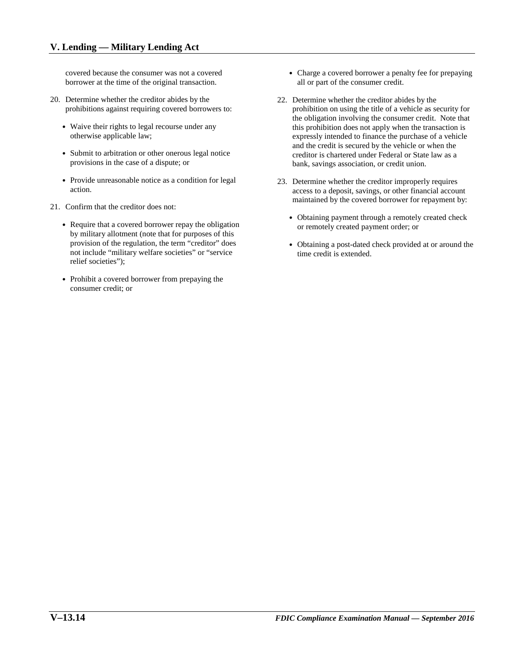covered because the consumer was not a covered borrower at the time of the original transaction.

- 20. Determine whether the creditor abides by the prohibitions against requiring covered borrowers to:
	- otherwise applicable law; • Waive their rights to legal recourse under any
	- Submit to arbitration or other onerous legal notice provisions in the case of a dispute; or
	- • Provide unreasonable notice as a condition for legal action.
- 21. Confirm that the creditor does not:
	- Require that a covered borrower repay the obligation by military allotment (note that for purposes of this provision of the regulation, the term "creditor" does not include "military welfare societies" or "service relief societies");
	- consumer credit; or • Prohibit a covered borrower from prepaying the
- Charge a covered borrower a penalty fee for prepaying all or part of the consumer credit.
- prohibition on using the title of a vehicle as security for 22. Determine whether the creditor abides by the the obligation involving the consumer credit. Note that this prohibition does not apply when the transaction is expressly intended to finance the purchase of a vehicle and the credit is secured by the vehicle or when the creditor is chartered under Federal or State law as a bank, savings association, or credit union.
- access to a deposit, savings, or other financial account maintained by the covered borrower for repayment by: 23. Determine whether the creditor improperly requires
	- • Obtaining payment through a remotely created check or remotely created payment order; or
	- • Obtaining a post-dated check provided at or around the time credit is extended.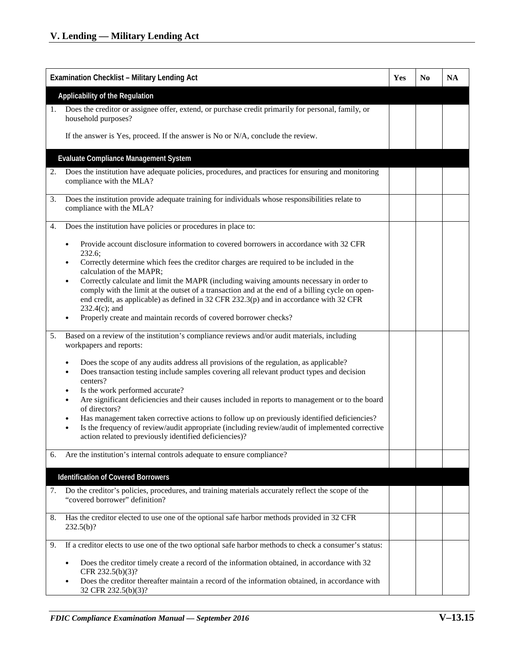| <b>Examination Checklist - Military Lending Act</b> |                                                                                                                                                                                                                                                                                                                     | Yes | No. | <b>NA</b> |
|-----------------------------------------------------|---------------------------------------------------------------------------------------------------------------------------------------------------------------------------------------------------------------------------------------------------------------------------------------------------------------------|-----|-----|-----------|
| Applicability of the Regulation                     |                                                                                                                                                                                                                                                                                                                     |     |     |           |
|                                                     | 1. Does the creditor or assignee offer, extend, or purchase credit primarily for personal, family, or<br>household purposes?                                                                                                                                                                                        |     |     |           |
|                                                     | If the answer is Yes, proceed. If the answer is No or N/A, conclude the review.                                                                                                                                                                                                                                     |     |     |           |
| <b>Evaluate Compliance Management System</b>        |                                                                                                                                                                                                                                                                                                                     |     |     |           |
| 2.                                                  | Does the institution have adequate policies, procedures, and practices for ensuring and monitoring<br>compliance with the MLA?                                                                                                                                                                                      |     |     |           |
| 3.                                                  | Does the institution provide adequate training for individuals whose responsibilities relate to<br>compliance with the MLA?                                                                                                                                                                                         |     |     |           |
| 4.                                                  | Does the institution have policies or procedures in place to:                                                                                                                                                                                                                                                       |     |     |           |
|                                                     | Provide account disclosure information to covered borrowers in accordance with 32 CFR<br>232.6;                                                                                                                                                                                                                     |     |     |           |
|                                                     | Correctly determine which fees the creditor charges are required to be included in the<br>calculation of the MAPR;                                                                                                                                                                                                  |     |     |           |
|                                                     | Correctly calculate and limit the MAPR (including waiving amounts necessary in order to<br>٠<br>comply with the limit at the outset of a transaction and at the end of a billing cycle on open-<br>end credit, as applicable) as defined in $32$ CFR $232.3(p)$ and in accordance with $32$ CFR<br>$232.4(c)$ ; and |     |     |           |
|                                                     | Properly create and maintain records of covered borrower checks?                                                                                                                                                                                                                                                    |     |     |           |
| 5.                                                  | Based on a review of the institution's compliance reviews and/or audit materials, including<br>workpapers and reports:                                                                                                                                                                                              |     |     |           |
|                                                     | Does the scope of any audits address all provisions of the regulation, as applicable?<br>Does transaction testing include samples covering all relevant product types and decision<br>٠<br>centers?<br>Is the work performed accurate?<br>٠                                                                         |     |     |           |
|                                                     | Are significant deficiencies and their causes included in reports to management or to the board<br>٠<br>of directors?                                                                                                                                                                                               |     |     |           |
|                                                     | Has management taken corrective actions to follow up on previously identified deficiencies?<br>٠<br>Is the frequency of review/audit appropriate (including review/audit of implemented corrective<br>٠<br>action related to previously identified deficiencies)?                                                   |     |     |           |
| 6.                                                  | Are the institution's internal controls adequate to ensure compliance?                                                                                                                                                                                                                                              |     |     |           |
|                                                     | <b>Identification of Covered Borrowers</b>                                                                                                                                                                                                                                                                          |     |     |           |
| 7.                                                  | Do the creditor's policies, procedures, and training materials accurately reflect the scope of the<br>"covered borrower" definition?                                                                                                                                                                                |     |     |           |
| 8.                                                  | Has the creditor elected to use one of the optional safe harbor methods provided in 32 CFR<br>$232.5(b)$ ?                                                                                                                                                                                                          |     |     |           |
| 9.                                                  | If a creditor elects to use one of the two optional safe harbor methods to check a consumer's status:                                                                                                                                                                                                               |     |     |           |
|                                                     | Does the creditor timely create a record of the information obtained, in accordance with 32<br>CFR 232.5(b)(3)?                                                                                                                                                                                                     |     |     |           |
|                                                     | Does the creditor thereafter maintain a record of the information obtained, in accordance with<br>32 CFR 232.5(b)(3)?                                                                                                                                                                                               |     |     |           |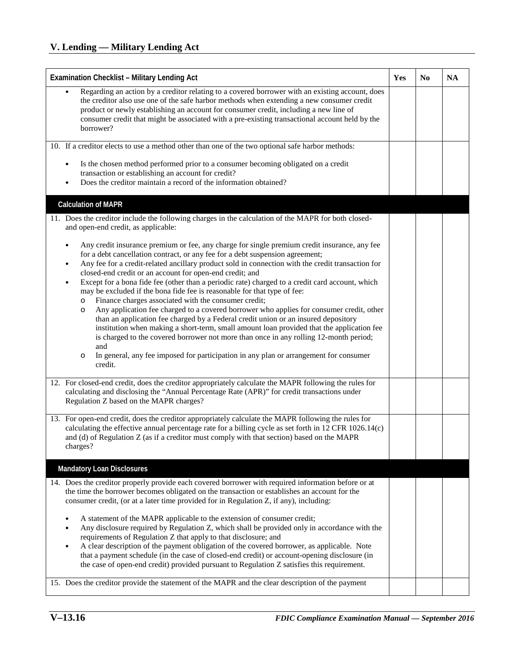| <b>Examination Checklist - Military Lending Act</b>                                                                                                                                                                                                                                                                                                                                                                                                                                                                                                                                                                                                                                                                                                                                                                                                                                                                                                                                                                                                                                                            |  | N <sub>0</sub> | <b>NA</b> |
|----------------------------------------------------------------------------------------------------------------------------------------------------------------------------------------------------------------------------------------------------------------------------------------------------------------------------------------------------------------------------------------------------------------------------------------------------------------------------------------------------------------------------------------------------------------------------------------------------------------------------------------------------------------------------------------------------------------------------------------------------------------------------------------------------------------------------------------------------------------------------------------------------------------------------------------------------------------------------------------------------------------------------------------------------------------------------------------------------------------|--|----------------|-----------|
| Regarding an action by a creditor relating to a covered borrower with an existing account, does<br>the creditor also use one of the safe harbor methods when extending a new consumer credit<br>product or newly establishing an account for consumer credit, including a new line of<br>consumer credit that might be associated with a pre-existing transactional account held by the<br>borrower?                                                                                                                                                                                                                                                                                                                                                                                                                                                                                                                                                                                                                                                                                                           |  |                |           |
| 10. If a creditor elects to use a method other than one of the two optional safe harbor methods:                                                                                                                                                                                                                                                                                                                                                                                                                                                                                                                                                                                                                                                                                                                                                                                                                                                                                                                                                                                                               |  |                |           |
| Is the chosen method performed prior to a consumer becoming obligated on a credit<br>٠<br>transaction or establishing an account for credit?<br>Does the creditor maintain a record of the information obtained?                                                                                                                                                                                                                                                                                                                                                                                                                                                                                                                                                                                                                                                                                                                                                                                                                                                                                               |  |                |           |
| <b>Calculation of MAPR</b>                                                                                                                                                                                                                                                                                                                                                                                                                                                                                                                                                                                                                                                                                                                                                                                                                                                                                                                                                                                                                                                                                     |  |                |           |
| 11. Does the creditor include the following charges in the calculation of the MAPR for both closed-<br>and open-end credit, as applicable:                                                                                                                                                                                                                                                                                                                                                                                                                                                                                                                                                                                                                                                                                                                                                                                                                                                                                                                                                                     |  |                |           |
| Any credit insurance premium or fee, any charge for single premium credit insurance, any fee<br>for a debt cancellation contract, or any fee for a debt suspension agreement;<br>Any fee for a credit-related ancillary product sold in connection with the credit transaction for<br>closed-end credit or an account for open-end credit; and<br>Except for a bona fide fee (other than a periodic rate) charged to a credit card account, which<br>٠<br>may be excluded if the bona fide fee is reasonable for that type of fee:<br>Finance charges associated with the consumer credit;<br>$\circ$<br>Any application fee charged to a covered borrower who applies for consumer credit, other<br>$\circ$<br>than an application fee charged by a Federal credit union or an insured depository<br>institution when making a short-term, small amount loan provided that the application fee<br>is charged to the covered borrower not more than once in any rolling 12-month period;<br>and<br>In general, any fee imposed for participation in any plan or arrangement for consumer<br>$\circ$<br>credit. |  |                |           |
| 12. For closed-end credit, does the creditor appropriately calculate the MAPR following the rules for<br>calculating and disclosing the "Annual Percentage Rate (APR)" for credit transactions under<br>Regulation Z based on the MAPR charges?                                                                                                                                                                                                                                                                                                                                                                                                                                                                                                                                                                                                                                                                                                                                                                                                                                                                |  |                |           |
| 13. For open-end credit, does the creditor appropriately calculate the MAPR following the rules for<br>calculating the effective annual percentage rate for a billing cycle as set forth in 12 CFR 1026.14(c)<br>and (d) of Regulation Z (as if a creditor must comply with that section) based on the MAPR<br>charges?                                                                                                                                                                                                                                                                                                                                                                                                                                                                                                                                                                                                                                                                                                                                                                                        |  |                |           |
| <b>Mandatory Loan Disclosures</b>                                                                                                                                                                                                                                                                                                                                                                                                                                                                                                                                                                                                                                                                                                                                                                                                                                                                                                                                                                                                                                                                              |  |                |           |
| 14. Does the creditor properly provide each covered borrower with required information before or at<br>the time the borrower becomes obligated on the transaction or establishes an account for the<br>consumer credit, (or at a later time provided for in Regulation Z, if any), including:                                                                                                                                                                                                                                                                                                                                                                                                                                                                                                                                                                                                                                                                                                                                                                                                                  |  |                |           |
| A statement of the MAPR applicable to the extension of consumer credit;<br>Any disclosure required by Regulation Z, which shall be provided only in accordance with the<br>requirements of Regulation Z that apply to that disclosure; and<br>A clear description of the payment obligation of the covered borrower, as applicable. Note<br>that a payment schedule (in the case of closed-end credit) or account-opening disclosure (in<br>the case of open-end credit) provided pursuant to Regulation Z satisfies this requirement.                                                                                                                                                                                                                                                                                                                                                                                                                                                                                                                                                                         |  |                |           |
| 15. Does the creditor provide the statement of the MAPR and the clear description of the payment                                                                                                                                                                                                                                                                                                                                                                                                                                                                                                                                                                                                                                                                                                                                                                                                                                                                                                                                                                                                               |  |                |           |